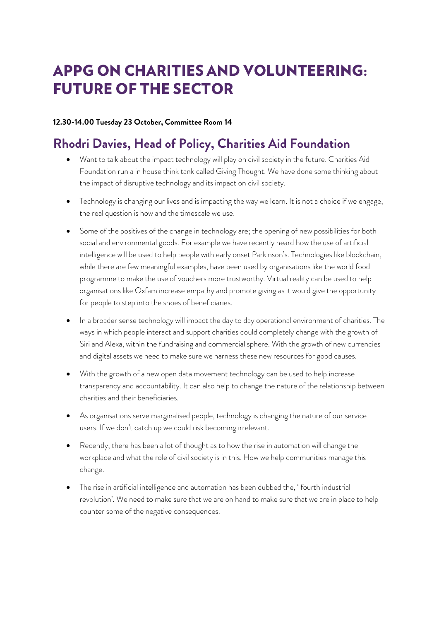# APPG ON CHARITIES AND VOLUNTEERING: FUTURE OF THE SECTOR

#### **12.30-14.00 Tuesday 23 October, Committee Room 14**

### **Rhodri Davies, Head of Policy, Charities Aid Foundation**

- Want to talk about the impact technology will play on civil society in the future. Charities Aid Foundation run a in house think tank called Giving Thought. We have done some thinking about the impact of disruptive technology and its impact on civil society.
- Technology is changing our lives and is impacting the way we learn. It is not a choice if we engage, the real question is how and the timescale we use.
- Some of the positives of the change in technology are; the opening of new possibilities for both social and environmental goods. For example we have recently heard how the use of artificial intelligence will be used to help people with early onset Parkinson's. Technologies like blockchain, while there are few meaningful examples, have been used by organisations like the world food programme to make the use of vouchers more trustworthy. Virtual reality can be used to help organisations like Oxfam increase empathy and promote giving as it would give the opportunity for people to step into the shoes of beneficiaries.
- In a broader sense technology will impact the day to day operational environment of charities. The ways in which people interact and support charities could completely change with the growth of Siri and Alexa, within the fundraising and commercial sphere. With the growth of new currencies and digital assets we need to make sure we harness these new resources for good causes.
- With the growth of a new open data movement technology can be used to help increase transparency and accountability. It can also help to change the nature of the relationship between charities and their beneficiaries.
- As organisations serve marginalised people, technology is changing the nature of our service users. If we don't catch up we could risk becoming irrelevant.
- Recently, there has been a lot of thought as to how the rise in automation will change the workplace and what the role of civil society is in this. How we help communities manage this change.
- The rise in artificial intelligence and automation has been dubbed the, 'fourth industrial revolution'. We need to make sure that we are on hand to make sure that we are in place to help counter some of the negative consequences.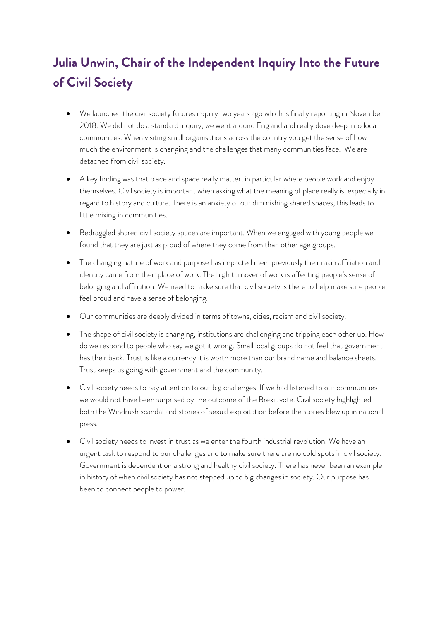## **Julia Unwin, Chair of the Independent Inquiry Into the Future of Civil Society**

- We launched the civil society futures inquiry two years ago which is finally reporting in November 2018. We did not do a standard inquiry, we went around England and really dove deep into local communities. When visiting small organisations across the country you get the sense of how much the environment is changing and the challenges that many communities face. We are detached from civil society.
- A key finding was that place and space really matter, in particular where people work and enjoy themselves. Civil society is important when asking what the meaning of place really is, especially in regard to history and culture. There is an anxiety of our diminishing shared spaces, this leads to little mixing in communities.
- Bedraggled shared civil society spaces are important. When we engaged with young people we found that they are just as proud of where they come from than other age groups.
- The changing nature of work and purpose has impacted men, previously their main affiliation and identity came from their place of work. The high turnover of work is affecting people's sense of belonging and affiliation. We need to make sure that civil society is there to help make sure people feel proud and have a sense of belonging.
- Our communities are deeply divided in terms of towns, cities, racism and civil society.
- The shape of civil society is changing, institutions are challenging and tripping each other up. How do we respond to people who say we got it wrong. Small local groups do not feel that government has their back. Trust is like a currency it is worth more than our brand name and balance sheets. Trust keeps us going with government and the community.
- Civil society needs to pay attention to our big challenges. If we had listened to our communities we would not have been surprised by the outcome of the Brexit vote. Civil society highlighted both the Windrush scandal and stories of sexual exploitation before the stories blew up in national press.
- Civil society needs to invest in trust as we enter the fourth industrial revolution. We have an urgent task to respond to our challenges and to make sure there are no cold spots in civil society. Government is dependent on a strong and healthy civil society. There has never been an example in history of when civil society has not stepped up to big changes in society. Our purpose has been to connect people to power.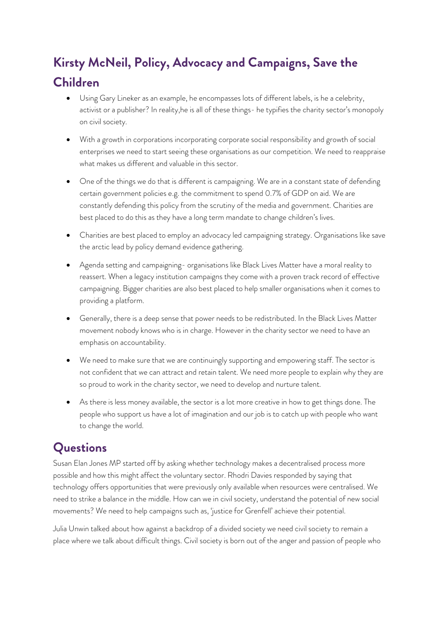# **Kirsty McNeil, Policy, Advocacy and Campaigns, Save the Children**

- Using Gary Lineker as an example, he encompasses lots of different labels, is he a celebrity, activist or a publisher? In reality,he is all of these things- he typifies the charity sector's monopoly on civil society.
- With a growth in corporations incorporating corporate social responsibility and growth of social enterprises we need to start seeing these organisations as our competition. We need to reappraise what makes us different and valuable in this sector.
- One of the things we do that is different is campaigning. We are in a constant state of defending certain government policies e.g. the commitment to spend 0.7% of GDP on aid. We are constantly defending this policy from the scrutiny of the media and government. Charities are best placed to do this as they have a long term mandate to change children's lives.
- Charities are best placed to employ an advocacy led campaigning strategy. Organisations like save the arctic lead by policy demand evidence gathering.
- Agenda setting and campaigning- organisations like Black Lives Matter have a moral reality to reassert. When a legacy institution campaigns they come with a proven track record of effective campaigning. Bigger charities are also best placed to help smaller organisations when it comes to providing a platform.
- Generally, there is a deep sense that power needs to be redistributed. In the Black Lives Matter movement nobody knows who is in charge. However in the charity sector we need to have an emphasis on accountability.
- We need to make sure that we are continuingly supporting and empowering staff. The sector is not confident that we can attract and retain talent. We need more people to explain why they are so proud to work in the charity sector, we need to develop and nurture talent.
- As there is less money available, the sector is a lot more creative in how to get things done. The people who support us have a lot of imagination and our job is to catch up with people who want to change the world.

## **Questions**

Susan Elan Jones MP started off by asking whether technology makes a decentralised process more possible and how this might affect the voluntary sector. Rhodri Davies responded by saying that technology offers opportunities that were previously only available when resources were centralised. We need to strike a balance in the middle. How can we in civil society, understand the potential of new social movements? We need to help campaigns such as, 'justice for Grenfell' achieve their potential.

Julia Unwin talked about how against a backdrop of a divided society we need civil society to remain a place where we talk about difficult things. Civil society is born out of the anger and passion of people who